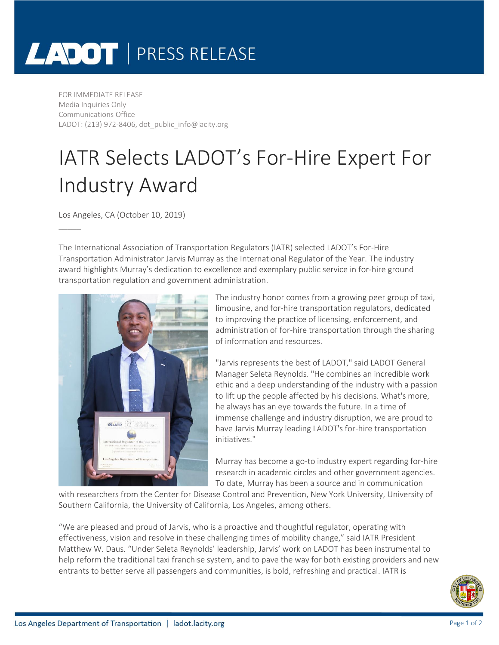## LADOT | PRESS RELEASE

FOR IMMEDIATE RELEASE Media Inquiries Only Communications Office LADOT: (213) 972-8406, dot\_public\_info@lacity.org

## IATR Selects LADOT's For-Hire Expert For Industry Award

Los Angeles, CA (October 10, 2019)

\_\_\_\_\_

The International Association of Transportation Regulators (IATR) selected LADOT's For-Hire Transportation Administrator Jarvis Murray as the International Regulator of the Year. The industry award highlights Murray's dedication to excellence and exemplary public service in for-hire ground transportation regulation and government administration.



The industry honor comes from a growing peer group of taxi, limousine, and for-hire transportation regulators, dedicated to improving the practice of licensing, enforcement, and administration of for-hire transportation through the sharing of information and resources.

"Jarvis represents the best of LADOT," said LADOT General Manager Seleta Reynolds. "He combines an incredible work ethic and a deep understanding of the industry with a passion to lift up the people affected by his decisions. What's more, he always has an eye towards the future. In a time of immense challenge and industry disruption, we are proud to have Jarvis Murray leading LADOT's for-hire transportation initiatives."

Murray has become a go-to industry expert regarding for-hire research in academic circles and other government agencies. To date, Murray has been a source and in communication

with researchers from the Center for Disease Control and Prevention, New York University, University of Southern California, the University of California, Los Angeles, among others.

"We are pleased and proud of Jarvis, who is a proactive and thoughtful regulator, operating with effectiveness, vision and resolve in these challenging times of mobility change," said IATR President Matthew W. Daus. "Under Seleta Reynolds' leadership, Jarvis' work on LADOT has been instrumental to help reform the traditional taxi franchise system, and to pave the way for both existing providers and new entrants to better serve all passengers and communities, is bold, refreshing and practical. IATR is